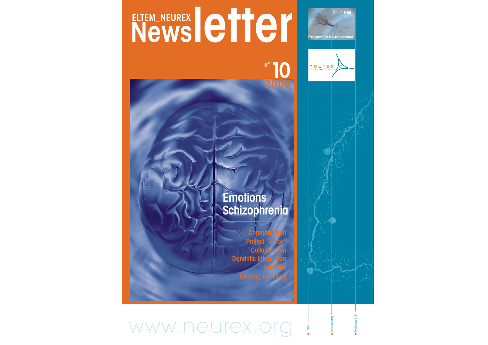

### www.neurex.org ● Basel

● Freiburg i. Br.

● Strasbourg